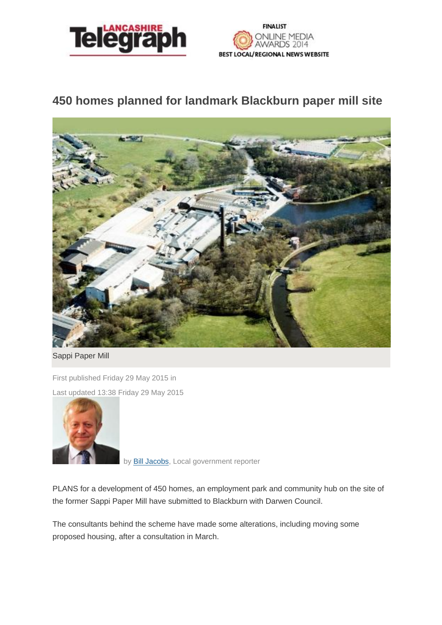



## **450 homes planned for landmark Blackburn paper mill site**



Sappi Paper Mill

First published Friday 29 May 2015 in Last updated 13:38 Friday 29 May 2015



by**Bill Jacobs**, Local government reporter

PLANS for a development of 450 homes, an employment park and community hub on the site of the former Sappi Paper Mill have submitted to Blackburn with Darwen Council.

The consultants behind the scheme have made some alterations, including moving some proposed housing, after a consultation in March.